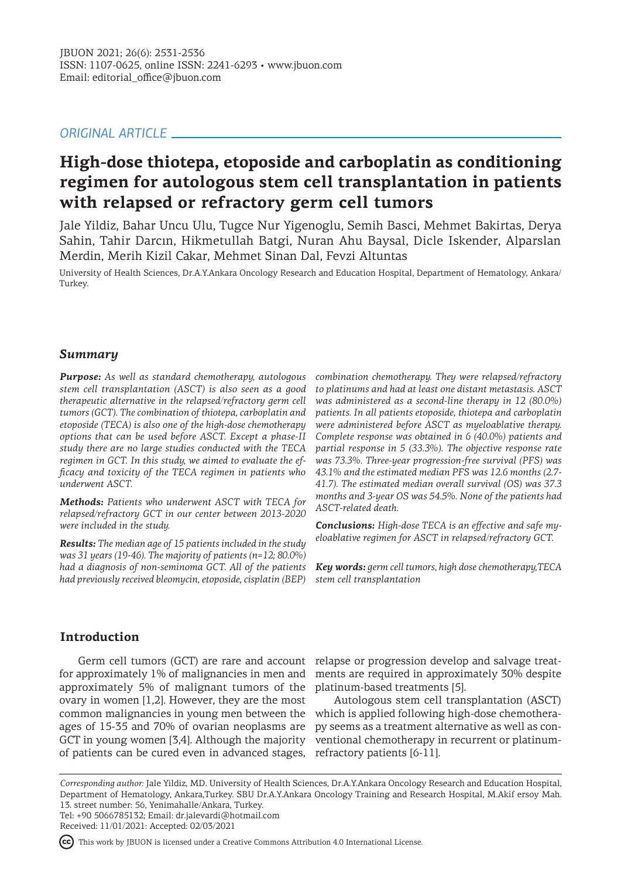# *ORIGINAL ARTICLE*

# **High-dose thiotepa, etoposide and carboplatin as conditioning regimen for autologous stem cell transplantation in patients with relapsed or refractory germ cell tumors**

Jale Yildiz, Bahar Uncu Ulu, Tugce Nur Yigenoglu, Semih Basci, Mehmet Bakirtas, Derya Sahin, Tahir Darcın, Hikmetullah Batgi, Nuran Ahu Baysal, Dicle Iskender, Alparslan Merdin, Merih Kizil Cakar, Mehmet Sinan Dal, Fevzi Altuntas

University of Health Sciences, Dr.A.Y.Ankara Oncology Research and Education Hospital, Department of Hematology, Ankara/ Turkey.

# *Summary*

*Purpose: As well as standard chemotherapy, autologous stem cell transplantation (ASCT) is also seen as a good therapeutic alternative in the relapsed/refractory germ cell tumors (GCT). The combination of thiotepa, carboplatin and etoposide (TECA) is also one of the high-dose chemotherapy options that can be used before ASCT. Except a phase-II study there are no large studies conducted with the TECA regimen in GCT. In this study, we aimed to evaluate the efficacy and toxicity of the TECA regimen in patients who underwent ASCT.* 

*Methods: Patients who underwent ASCT with TECA for relapsed/refractory GCT in our center between 2013-2020 were included in the study.* 

*Results: The median age of 15 patients included in the study was 31 years (19-46). The majority of patients (n=12; 80.0%) had a diagnosis of non-seminoma GCT. All of the patients had previously received bleomycin, etoposide, cisplatin (BEP)* 

*combination chemotherapy. They were relapsed/refractory to platinums and had at least one distant metastasis. ASCT was administered as a second-line therapy in 12 (80.0%) patients. In all patients etoposide, thiotepa and carboplatin were administered before ASCT as myeloablative therapy. Complete response was obtained in 6 (40.0%) patients and partial response in 5 (33.3%). The objective response rate was 73.3%. Three-year progression-free survival (PFS) was 43.1% and the estimated median PFS was 12.6 months (2.7- 41.7). The estimated median overall survival (OS) was 37.3 months and 3-year OS was 54.5%. None of the patients had ASCT-related death.* 

*Conclusions: High-dose TECA is an effective and safe myeloablative regimen for ASCT in relapsed/refractory GCT.* 

*Key words: germ cell tumors, high dose chemotherapy,TECA stem cell transplantation*

# **Introduction**

for approximately 1% of malignancies in men and approximately 5% of malignant tumors of the ovary in women [1,2]. However, they are the most common malignancies in young men between the ages of 15-35 and 70% of ovarian neoplasms are GCT in young women [3,4]. Although the majority of patients can be cured even in advanced stages, refractory patients [6-11].

Germ cell tumors (GCT) are rare and account relapse or progression develop and salvage treatments are required in approximately 30% despite platinum-based treatments [5].

> Autologous stem cell transplantation (ASCT) which is applied following high-dose chemotherapy seems as a treatment alternative as well as conventional chemotherapy in recurrent or platinum-

*Corresponding author:* Jale Yildiz, MD. University of Health Sciences, Dr.A.Y.Ankara Oncology Research and Education Hospital, Department of Hematology, Ankara,Turkey. SBU Dr.A.Y.Ankara Oncology Training and Research Hospital, M.Akif ersoy Mah. 13. street number: 56, Yenimahalle/Ankara, Turkey. Tel: +90 5066785132; Email: dr.jalevardi@hotmail.com

Received: 11/01/2021: Accepted: 02/03/2021

This work by JBUON is licensed under a Creative Commons Attribution 4.0 International License.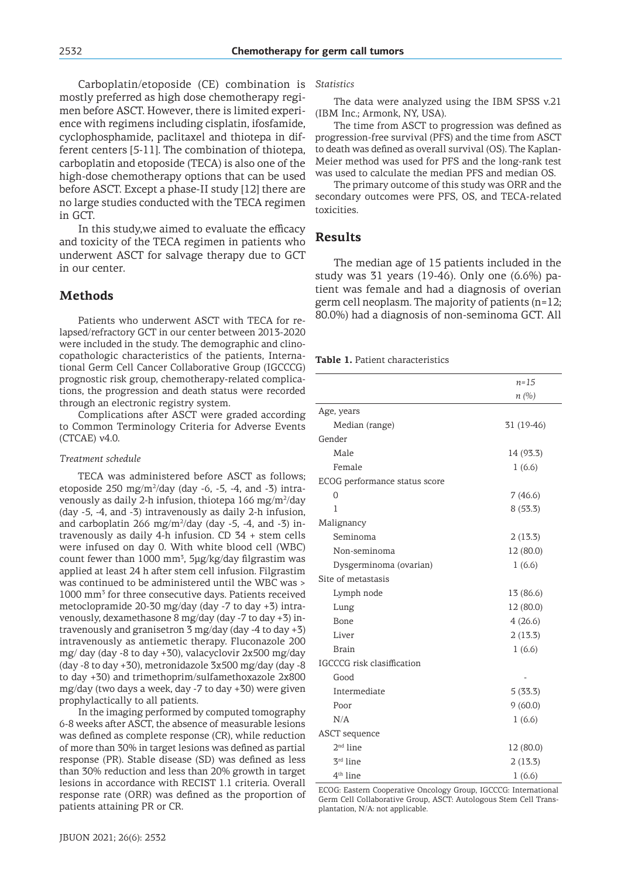Carboplatin/etoposide (CE) combination is mostly preferred as high dose chemotherapy regimen before ASCT. However, there is limited experience with regimens including cisplatin, ifosfamide, cyclophosphamide, paclitaxel and thiotepa in different centers [5-11]. The combination of thiotepa, carboplatin and etoposide (TECA) is also one of the high-dose chemotherapy options that can be used before ASCT. Except a phase-II study [12] there are no large studies conducted with the TECA regimen in GCT.

In this study,we aimed to evaluate the efficacy and toxicity of the TECA regimen in patients who underwent ASCT for salvage therapy due to GCT in our center.

# **Methods**

Patients who underwent ASCT with TECA for relapsed/refractory GCT in our center between 2013-2020 were included in the study. The demographic and clinocopathologic characteristics of the patients, International Germ Cell Cancer Collaborative Group (IGCCCG) prognostic risk group, chemotherapy-related complications, the progression and death status were recorded through an electronic registry system.

Complications after ASCT were graded according to Common Terminology Criteria for Adverse Events (CTCAE) v4.0.

#### *Treatment schedule*

TECA was administered before ASCT as follows; etoposide 250 mg/m<sup>2</sup>/day (day -6, -5, -4, and -3) intravenously as daily 2-h infusion, thiotepa 166 mg/m<sup>2</sup>/day (day -5, -4, and -3) intravenously as daily 2-h infusion, and carboplatin 266 mg/m $^{2}$ /day (day -5, -4, and -3) intravenously as daily 4-h infusion. CD 34 + stem cells were infused on day 0. With white blood cell (WBC) count fewer than  $1000 \text{ mm}^3$ ,  $5\mu g/kg$  day filgrastim was applied at least 24 h after stem cell infusion. Filgrastim was continued to be administered until the WBC was > 1000 mm<sup>3</sup> for three consecutive days. Patients received metoclopramide 20-30 mg/day (day -7 to day +3) intravenously, dexamethasone 8 mg/day (day -7 to day +3) intravenously and granisetron 3 mg/day (day -4 to day +3) intravenously as antiemetic therapy. Fluconazole 200 mg/ day (day -8 to day +30), valacyclovir 2x500 mg/day (day -8 to day +30), metronidazole 3x500 mg/day (day -8 to day +30) and trimethoprim/sulfamethoxazole 2x800 mg/day (two days a week, day -7 to day +30) were given prophylactically to all patients.

In the imaging performed by computed tomography 6-8 weeks after ASCT, the absence of measurable lesions was defined as complete response (CR), while reduction of more than 30% in target lesions was defined as partial response (PR). Stable disease (SD) was defined as less than 30% reduction and less than 20% growth in target lesions in accordance with RECIST 1.1 criteria. Overall response rate (ORR) was defined as the proportion of patients attaining PR or CR.

*Statistics*

The data were analyzed using the IBM SPSS v.21 (IBM Inc.; Armonk, NY, USA).

The time from ASCT to progression was defined as progression-free survival (PFS) and the time from ASCT to death was defined as overall survival (OS). The Kaplan-Meier method was used for PFS and the long-rank test was used to calculate the median PFS and median OS.

The primary outcome of this study was ORR and the secondary outcomes were PFS, OS, and TECA-related toxicities.

# **Results**

The median age of 15 patients included in the study was 31 years (19-46). Only one (6.6%) patient was female and had a diagnosis of overian germ cell neoplasm. The majority of patients (n=12; 80.0%) had a diagnosis of non-seminoma GCT. All

#### **Table 1.** Patient characteristics

|                               | $n = 15$   |
|-------------------------------|------------|
|                               | n(%)       |
| Age, years                    |            |
| Median (range)                | 31 (19-46) |
| Gender                        |            |
| Male                          | 14 (93.3)  |
| Female                        | 1(6.6)     |
| ECOG performance status score |            |
| 0                             | 7(46.6)    |
| 1                             | 8(53.3)    |
| Malignancy                    |            |
| Seminoma                      | 2(13.3)    |
| Non-seminoma                  | 12 (80.0)  |
| Dysgerminoma (ovarian)        | 1(6.6)     |
| Site of metastasis            |            |
| Lymph node                    | 13 (86.6)  |
| Lung                          | 12 (80.0)  |
| Bone                          | 4(26.6)    |
| Liver                         | 2(13.3)    |
| <b>Brain</b>                  | 1(6.6)     |
| IGCCCG risk clasiffication    |            |
| Good                          |            |
| Intermediate                  | 5(33.3)    |
| Poor                          | 9(60.0)    |
| N/A                           | 1(6.6)     |
| <b>ASCT</b> sequence          |            |
| $2nd$ line                    | 12 (80.0)  |
| 3rd line                      | 2(13.3)    |
| 4 <sup>th</sup> line          | 1(6.6)     |

ECOG: Eastern Cooperative Oncology Group, IGCCCG: International Germ Cell Collaborative Group, ASCT: Autologous Stem Cell Transplantation, N/A: not applicable.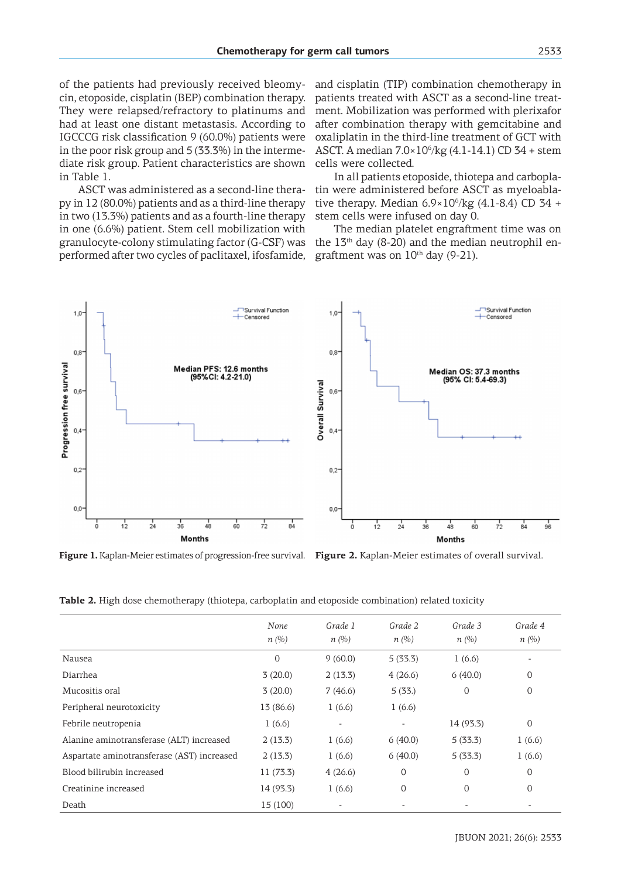of the patients had previously received bleomycin, etoposide, cisplatin (BEP) combination therapy. They were relapsed/refractory to platinums and had at least one distant metastasis. According to IGCCCG risk classification 9 (60.0%) patients were in the poor risk group and 5 (33.3%) in the intermediate risk group. Patient characteristics are shown in Table 1.

ASCT was administered as a second-line therapy in 12 (80.0%) patients and as a third-line therapy in two (13.3%) patients and as a fourth-line therapy in one (6.6%) patient. Stem cell mobilization with granulocyte-colony stimulating factor (G-CSF) was performed after two cycles of paclitaxel, ifosfamide,

and cisplatin (TIP) combination chemotherapy in patients treated with ASCT as a second-line treatment. Mobilization was performed with plerixafor after combination therapy with gemcitabine and oxaliplatin in the third-line treatment of GCT with ASCT. A median  $7.0 \times 10^6$ /kg  $(4.1 - 14.1)$  CD 34 + stem cells were collected.

In all patients etoposide, thiotepa and carboplatin were administered before ASCT as myeloablative therapy. Median  $6.9 \times 10^6$ /kg (4.1-8.4) CD 34 + stem cells were infused on day 0.

The median platelet engraftment time was on the  $13<sup>th</sup>$  day (8-20) and the median neutrophil engraftment was on  $10^{th}$  day (9-21).



**Figure 1.** Kaplan-Meier estimates of progression-free survival. **Figure 2.** Kaplan-Meier estimates of overall survival.

| Table 2. High dose chemotherapy (thiotepa, carboplatin and etoposide combination) related toxicity |
|----------------------------------------------------------------------------------------------------|
|----------------------------------------------------------------------------------------------------|

|                                            | None<br>$n(\%)$ | Grade 1<br>n(%)          | Grade 2<br>$n(\%)$ | Grade 3<br>$n(\%)$ | Grade 4<br>n(%) |
|--------------------------------------------|-----------------|--------------------------|--------------------|--------------------|-----------------|
| Nausea                                     | $\mathbf 0$     | 9(60.0)                  | 5(33.3)            | 1(6.6)             |                 |
| Diarrhea                                   | 3(20.0)         | 2(13.3)                  | 4(26.6)            | 6(40.0)            | 0               |
| Mucositis oral                             | 3(20.0)         | 7(46.6)                  | 5(33.)             | 0                  | 0               |
| Peripheral neurotoxicity                   | 13 (86.6)       | 1(6.6)                   | 1(6.6)             |                    |                 |
| Febrile neutropenia                        | 1(6.6)          | $\overline{\phantom{a}}$ |                    | 14 (93.3)          | $\mathbf 0$     |
| Alanine aminotransferase (ALT) increased   | 2(13.3)         | 1(6.6)                   | 6(40.0)            | 5(33.3)            | 1(6.6)          |
| Aspartate aminotransferase (AST) increased | 2(13.3)         | 1(6.6)                   | 6(40.0)            | 5(33.3)            | 1(6.6)          |
| Blood bilirubin increased                  | 11 (73.3)       | 4(26.6)                  | 0                  | $\overline{0}$     | $\mathbf 0$     |
| Creatinine increased                       | 14 (93.3)       | 1(6.6)                   | 0                  | $\overline{0}$     | $\mathbf 0$     |
| Death                                      | 15 (100)        |                          |                    |                    |                 |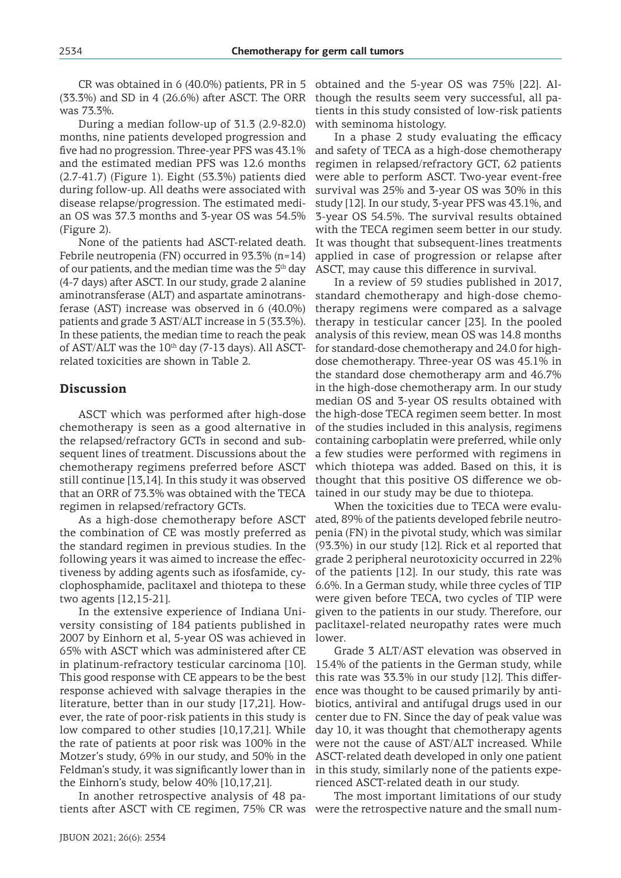CR was obtained in 6 (40.0%) patients, PR in 5 (33.3%) and SD in 4 (26.6%) after ASCT. The ORR was 73.3%.

During a median follow-up of 31.3 (2.9-82.0) months, nine patients developed progression and five had no progression. Three-year PFS was 43.1% and the estimated median PFS was 12.6 months (2.7-41.7) (Figure 1). Eight (53.3%) patients died during follow-up. All deaths were associated with disease relapse/progression. The estimated median OS was 37.3 months and 3-year OS was 54.5% (Figure 2).

None of the patients had ASCT-related death. Febrile neutropenia (FN) occurred in 93.3% (n=14) of our patients, and the median time was the  $5<sup>th</sup>$  day (4-7 days) after ASCT. In our study, grade 2 alanine aminotransferase (ALT) and aspartate aminotransferase (AST) increase was observed in 6 (40.0%) patients and grade 3 AST/ALT increase in 5 (33.3%). In these patients, the median time to reach the peak of AST/ALT was the  $10<sup>th</sup>$  day (7-13 days). All ASCTrelated toxicities are shown in Table 2.

### **Discussion**

ASCT which was performed after high-dose chemotherapy is seen as a good alternative in the relapsed/refractory GCTs in second and subsequent lines of treatment. Discussions about the chemotherapy regimens preferred before ASCT still continue [13,14]. In this study it was observed that an ORR of 73.3% was obtained with the TECA regimen in relapsed/refractory GCTs.

As a high-dose chemotherapy before ASCT the combination of CE was mostly preferred as the standard regimen in previous studies. In the following years it was aimed to increase the effectiveness by adding agents such as ifosfamide, cyclophosphamide, paclitaxel and thiotepa to these two agents [12,15-21].

In the extensive experience of Indiana University consisting of 184 patients published in 2007 by Einhorn et al, 5-year OS was achieved in 65% with ASCT which was administered after CE in platinum-refractory testicular carcinoma [10]. This good response with CE appears to be the best response achieved with salvage therapies in the literature, better than in our study [17,21]. However, the rate of poor-risk patients in this study is low compared to other studies [10,17,21]. While the rate of patients at poor risk was 100% in the Motzer's study, 69% in our study, and 50% in the Feldman's study, it was significantly lower than in the Einhorn's study, below 40% [10,17,21].

In another retrospective analysis of 48 patients after ASCT with CE regimen, 75% CR was were the retrospective nature and the small num-

obtained and the 5-year OS was 75% [22]. Although the results seem very successful, all patients in this study consisted of low-risk patients with seminoma histology.

In a phase 2 study evaluating the efficacy and safety of TECA as a high-dose chemotherapy regimen in relapsed/refractory GCT, 62 patients were able to perform ASCT. Two-year event-free survival was 25% and 3-year OS was 30% in this study [12]. In our study, 3-year PFS was 43.1%, and 3-year OS 54.5%. The survival results obtained with the TECA regimen seem better in our study. It was thought that subsequent-lines treatments applied in case of progression or relapse after ASCT, may cause this difference in survival.

In a review of 59 studies published in 2017, standard chemotherapy and high-dose chemotherapy regimens were compared as a salvage therapy in testicular cancer [23]. In the pooled analysis of this review, mean OS was 14.8 months for standard-dose chemotherapy and 24.0 for highdose chemotherapy. Three-year OS was 45.1% in the standard dose chemotherapy arm and 46.7% in the high-dose chemotherapy arm. In our study median OS and 3-year OS results obtained with the high-dose TECA regimen seem better. In most of the studies included in this analysis, regimens containing carboplatin were preferred, while only a few studies were performed with regimens in which thiotepa was added. Based on this, it is thought that this positive OS difference we obtained in our study may be due to thiotepa.

When the toxicities due to TECA were evaluated, 89% of the patients developed febrile neutropenia (FN) in the pivotal study, which was similar (93.3%) in our study [12]. Rick et al reported that grade 2 peripheral neurotoxicity occurred in 22% of the patients [12]. In our study, this rate was 6.6%. In a German study, while three cycles of TIP were given before TECA, two cycles of TIP were given to the patients in our study. Therefore, our paclitaxel-related neuropathy rates were much lower.

Grade 3 ALT/AST elevation was observed in 15.4% of the patients in the German study, while this rate was 33.3% in our study [12]. This difference was thought to be caused primarily by antibiotics, antiviral and antifugal drugs used in our center due to FN. Since the day of peak value was day 10, it was thought that chemotherapy agents were not the cause of AST/ALT increased. While ASCT-related death developed in only one patient in this study, similarly none of the patients experienced ASCT-related death in our study.

The most important limitations of our study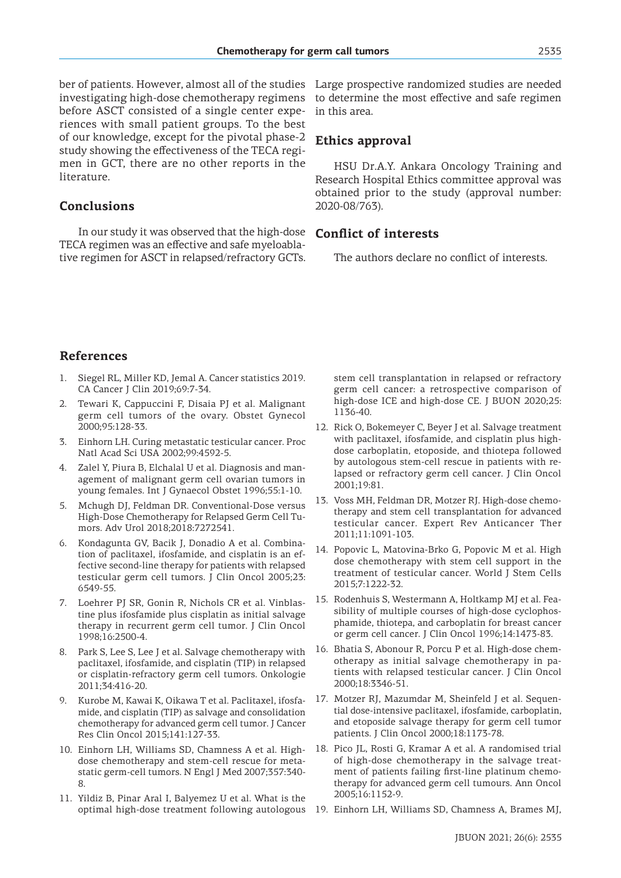investigating high-dose chemotherapy regimens before ASCT consisted of a single center experiences with small patient groups. To the best of our knowledge, except for the pivotal phase-2 study showing the effectiveness of the TECA regimen in GCT, there are no other reports in the literature.

# **Conclusions**

In our study it was observed that the high-dose TECA regimen was an effective and safe myeloablative regimen for ASCT in relapsed/refractory GCTs.

ber of patients. However, almost all of the studies Large prospective randomized studies are needed to determine the most effective and safe regimen in this area.

### **Ethics approval**

HSU Dr.A.Y. Ankara Oncology Training and Research Hospital Ethics committee approval was obtained prior to the study (approval number: 2020-08/763).

# **Conflict of interests**

The authors declare no conflict of interests.

# **References**

- 1. Siegel RL, Miller KD, Jemal A. Cancer statistics 2019. CA Cancer J Clin 2019;69:7-34.
- 2. Tewari K, Cappuccini F, Disaia PJ et al. Malignant germ cell tumors of the ovary. Obstet Gynecol 2000;95:128-33.
- 3. Einhorn LH. Curing metastatic testicular cancer. Proc Natl Acad Sci USA 2002;99:4592-5.
- 4. Zalel Y, Piura B, Elchalal U et al. Diagnosis and management of malignant germ cell ovarian tumors in young females. Int J Gynaecol Obstet 1996;55:1-10.
- 5. Mchugh DJ, Feldman DR. Conventional-Dose versus High-Dose Chemotherapy for Relapsed Germ Cell Tumors. Adv Urol 2018;2018:7272541.
- 6. Kondagunta GV, Bacik J, Donadio A et al. Combination of paclitaxel, ifosfamide, and cisplatin is an effective second-line therapy for patients with relapsed testicular germ cell tumors. J Clin Oncol 2005;23: 6549-55.
- 7. Loehrer PJ SR, Gonin R, Nichols CR et al. Vinblastine plus ifosfamide plus cisplatin as initial salvage therapy in recurrent germ cell tumor. J Clin Oncol 1998;16:2500-4.
- 8. Park S, Lee S, Lee J et al. Salvage chemotherapy with paclitaxel, ifosfamide, and cisplatin (TIP) in relapsed or cisplatin-refractory germ cell tumors. Onkologie 2011;34:416-20.
- 9. Kurobe M, Kawai K, Oikawa T et al. Paclitaxel, ifosfamide, and cisplatin (TIP) as salvage and consolidation chemotherapy for advanced germ cell tumor. J Cancer Res Clin Oncol 2015;141:127-33.
- 10. Einhorn LH, Williams SD, Chamness A et al. Highdose chemotherapy and stem-cell rescue for metastatic germ-cell tumors. N Engl J Med 2007;357:340- 8.
- 11. Yildiz B, Pinar Aral I, Balyemez U et al. What is the

stem cell transplantation in relapsed or refractory germ cell cancer: a retrospective comparison of high-dose ICE and high-dose CE. J BUON 2020;25: 1136-40.

- 12. Rick O, Bokemeyer C, Beyer J et al. Salvage treatment with paclitaxel, ifosfamide, and cisplatin plus highdose carboplatin, etoposide, and thiotepa followed by autologous stem-cell rescue in patients with relapsed or refractory germ cell cancer. J Clin Oncol 2001;19:81.
- 13. Voss MH, Feldman DR, Motzer RJ. High-dose chemotherapy and stem cell transplantation for advanced testicular cancer. Expert Rev Anticancer Ther 2011;11:1091-103.
- 14. Popovic L, Matovina-Brko G, Popovic M et al. High dose chemotherapy with stem cell support in the treatment of testicular cancer. World J Stem Cells 2015;7:1222-32.
- 15. Rodenhuis S, Westermann A, Holtkamp MJ et al. Feasibility of multiple courses of high-dose cyclophosphamide, thiotepa, and carboplatin for breast cancer or germ cell cancer. J Clin Oncol 1996;14:1473-83.
- 16. Bhatia S, Abonour R, Porcu P et al. High-dose chemotherapy as initial salvage chemotherapy in patients with relapsed testicular cancer. J Clin Oncol 2000;18:3346-51.
- 17. Motzer RJ, Mazumdar M, Sheinfeld J et al. Sequential dose-intensive paclitaxel, ifosfamide, carboplatin, and etoposide salvage therapy for germ cell tumor patients. J Clin Oncol 2000;18:1173-78.
- 18. Pico JL, Rosti G, Kramar A et al. A randomised trial of high-dose chemotherapy in the salvage treatment of patients failing first-line platinum chemotherapy for advanced germ cell tumours. Ann Oncol 2005;16:1152-9.
- optimal high-dose treatment following autologous 19. Einhorn LH, Williams SD, Chamness A, Brames MJ,